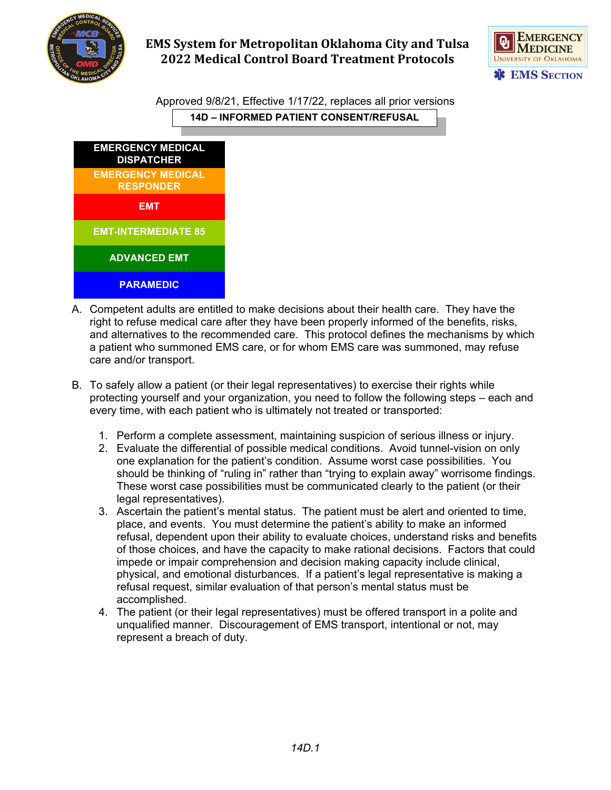



Approved 9/8/21, Effective 1/17/22, replaces all prior versions **14D – INFORMED PATIENT CONSENT/REFUSAL**



- A. Competent adults are entitled to make decisions about their health care. They have the right to refuse medical care after they have been properly informed of the benefits, risks, and alternatives to the recommended care. This protocol defines the mechanisms by which a patient who summoned EMS care, or for whom EMS care was summoned, may refuse care and/or transport.
- B. To safely allow a patient (or their legal representatives) to exercise their rights while protecting yourself and your organization, you need to follow the following steps – each and every time, with each patient who is ultimately not treated or transported:
	- 1. Perform a complete assessment, maintaining suspicion of serious illness or injury.
	- 2. Evaluate the differential of possible medical conditions. Avoid tunnel-vision on only one explanation for the patient's condition. Assume worst case possibilities. You should be thinking of "ruling in" rather than "trying to explain away" worrisome findings. These worst case possibilities must be communicated clearly to the patient (or their legal representatives).
	- 3. Ascertain the patient's mental status. The patient must be alert and oriented to time, place, and events. You must determine the patient's ability to make an informed refusal, dependent upon their ability to evaluate choices, understand risks and benefits of those choices, and have the capacity to make rational decisions. Factors that could impede or impair comprehension and decision making capacity include clinical, physical, and emotional disturbances. If a patient's legal representative is making a refusal request, similar evaluation of that person's mental status must be accomplished.
	- 4. The patient (or their legal representatives) must be offered transport in a polite and unqualified manner. Discouragement of EMS transport, intentional or not, may represent a breach of duty.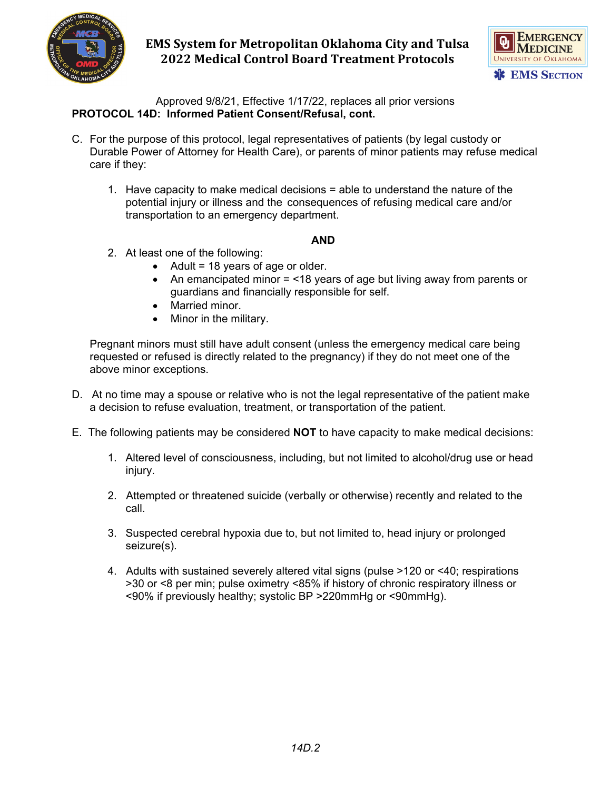



Approved 9/8/21, Effective 1/17/22, replaces all prior versions **PROTOCOL 14D: Informed Patient Consent/Refusal, cont.**

- C. For the purpose of this protocol, legal representatives of patients (by legal custody or Durable Power of Attorney for Health Care), or parents of minor patients may refuse medical care if they:
	- 1. Have capacity to make medical decisions = able to understand the nature of the potential injury or illness and the consequences of refusing medical care and/or transportation to an emergency department.

#### **AND**

- 2. At least one of the following:
	- Adult = 18 years of age or older.
	- An emancipated minor = <18 years of age but living away from parents or guardians and financially responsible for self.
	- Married minor.
	- Minor in the military.

Pregnant minors must still have adult consent (unless the emergency medical care being requested or refused is directly related to the pregnancy) if they do not meet one of the above minor exceptions.

- D. At no time may a spouse or relative who is not the legal representative of the patient make a decision to refuse evaluation, treatment, or transportation of the patient.
- E. The following patients may be considered **NOT** to have capacity to make medical decisions:
	- 1. Altered level of consciousness, including, but not limited to alcohol/drug use or head injury.
	- 2. Attempted or threatened suicide (verbally or otherwise) recently and related to the call.
	- 3. Suspected cerebral hypoxia due to, but not limited to, head injury or prolonged seizure(s).
	- 4. Adults with sustained severely altered vital signs (pulse >120 or <40; respirations >30 or <8 per min; pulse oximetry <85% if history of chronic respiratory illness or <90% if previously healthy; systolic BP >220mmHg or <90mmHg).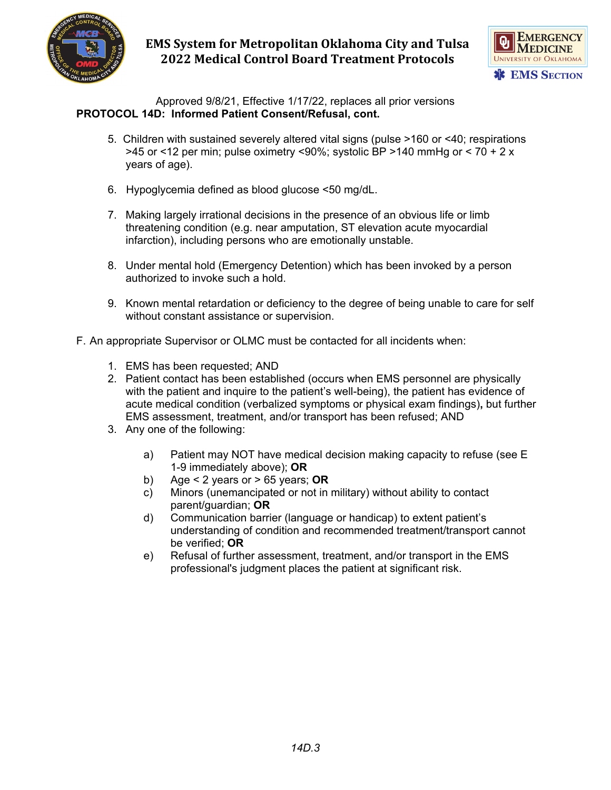



Approved 9/8/21, Effective 1/17/22, replaces all prior versions **PROTOCOL 14D: Informed Patient Consent/Refusal, cont.**

- 5. Children with sustained severely altered vital signs (pulse >160 or <40; respirations  $>$ 45 or <12 per min; pulse oximetry <90%; systolic BP  $>$ 140 mmHg or < 70 + 2 x years of age).
- 6. Hypoglycemia defined as blood glucose <50 mg/dL.
- 7. Making largely irrational decisions in the presence of an obvious life or limb threatening condition (e.g. near amputation, ST elevation acute myocardial infarction), including persons who are emotionally unstable.
- 8. Under mental hold (Emergency Detention) which has been invoked by a person authorized to invoke such a hold.
- 9. Known mental retardation or deficiency to the degree of being unable to care for self without constant assistance or supervision.
- F. An appropriate Supervisor or OLMC must be contacted for all incidents when:
	- 1. EMS has been requested; AND
	- 2. Patient contact has been established (occurs when EMS personnel are physically with the patient and inquire to the patient's well-being), the patient has evidence of acute medical condition (verbalized symptoms or physical exam findings)**,** but further EMS assessment, treatment, and/or transport has been refused; AND
	- 3. Any one of the following:
		- a) Patient may NOT have medical decision making capacity to refuse (see E 1-9 immediately above); **OR**
		- b) Age < 2 years or > 65 years; **OR**
		- c) Minors (unemancipated or not in military) without ability to contact parent/guardian; **OR**
		- d) Communication barrier (language or handicap) to extent patient's understanding of condition and recommended treatment/transport cannot be verified; **OR**
		- e) Refusal of further assessment, treatment, and/or transport in the EMS professional's judgment places the patient at significant risk.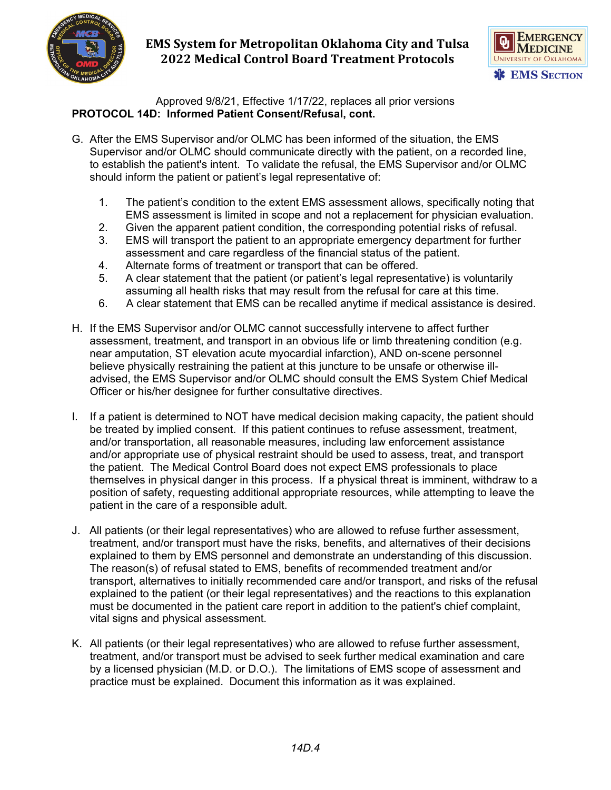



Approved 9/8/21, Effective 1/17/22, replaces all prior versions **PROTOCOL 14D: Informed Patient Consent/Refusal, cont.**

- G. After the EMS Supervisor and/or OLMC has been informed of the situation, the EMS Supervisor and/or OLMC should communicate directly with the patient, on a recorded line, to establish the patient's intent. To validate the refusal, the EMS Supervisor and/or OLMC should inform the patient or patient's legal representative of:
	- 1. The patient's condition to the extent EMS assessment allows, specifically noting that EMS assessment is limited in scope and not a replacement for physician evaluation.
	- 2. Given the apparent patient condition, the corresponding potential risks of refusal.
	- 3. EMS will transport the patient to an appropriate emergency department for further assessment and care regardless of the financial status of the patient.
	- 4. Alternate forms of treatment or transport that can be offered.
	- 5. A clear statement that the patient (or patient's legal representative) is voluntarily assuming all health risks that may result from the refusal for care at this time.
	- 6. A clear statement that EMS can be recalled anytime if medical assistance is desired.
- H. If the EMS Supervisor and/or OLMC cannot successfully intervene to affect further assessment, treatment, and transport in an obvious life or limb threatening condition (e.g. near amputation, ST elevation acute myocardial infarction), AND on-scene personnel believe physically restraining the patient at this juncture to be unsafe or otherwise illadvised, the EMS Supervisor and/or OLMC should consult the EMS System Chief Medical Officer or his/her designee for further consultative directives.
- I. If a patient is determined to NOT have medical decision making capacity, the patient should be treated by implied consent. If this patient continues to refuse assessment, treatment, and/or transportation, all reasonable measures, including law enforcement assistance and/or appropriate use of physical restraint should be used to assess, treat, and transport the patient. The Medical Control Board does not expect EMS professionals to place themselves in physical danger in this process. If a physical threat is imminent, withdraw to a position of safety, requesting additional appropriate resources, while attempting to leave the patient in the care of a responsible adult.
- J. All patients (or their legal representatives) who are allowed to refuse further assessment, treatment, and/or transport must have the risks, benefits, and alternatives of their decisions explained to them by EMS personnel and demonstrate an understanding of this discussion. The reason(s) of refusal stated to EMS, benefits of recommended treatment and/or transport, alternatives to initially recommended care and/or transport, and risks of the refusal explained to the patient (or their legal representatives) and the reactions to this explanation must be documented in the patient care report in addition to the patient's chief complaint, vital signs and physical assessment.
- K. All patients (or their legal representatives) who are allowed to refuse further assessment, treatment, and/or transport must be advised to seek further medical examination and care by a licensed physician (M.D. or D.O.). The limitations of EMS scope of assessment and practice must be explained. Document this information as it was explained.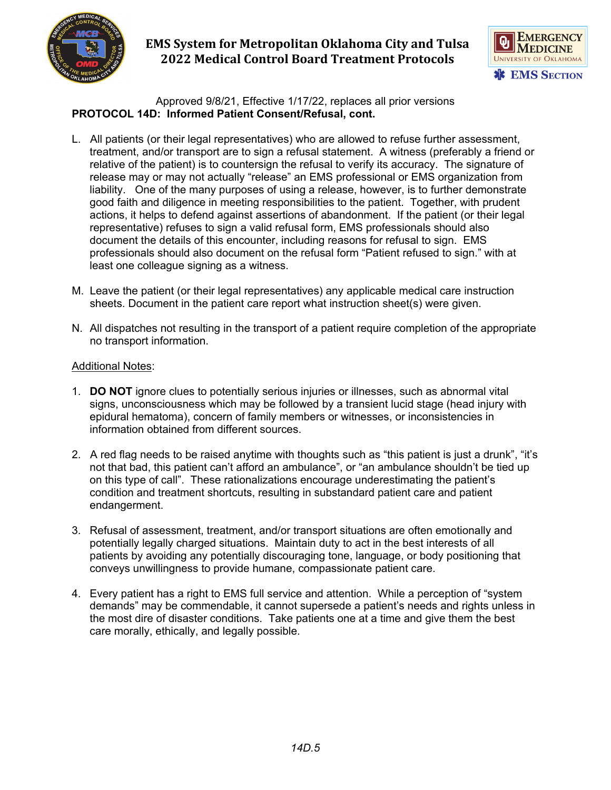



Approved 9/8/21, Effective 1/17/22, replaces all prior versions **PROTOCOL 14D: Informed Patient Consent/Refusal, cont.**

- L. All patients (or their legal representatives) who are allowed to refuse further assessment, treatment, and/or transport are to sign a refusal statement. A witness (preferably a friend or relative of the patient) is to countersign the refusal to verify its accuracy. The signature of release may or may not actually "release" an EMS professional or EMS organization from liability. One of the many purposes of using a release, however, is to further demonstrate good faith and diligence in meeting responsibilities to the patient. Together, with prudent actions, it helps to defend against assertions of abandonment. If the patient (or their legal representative) refuses to sign a valid refusal form, EMS professionals should also document the details of this encounter, including reasons for refusal to sign. EMS professionals should also document on the refusal form "Patient refused to sign." with at least one colleague signing as a witness.
- M. Leave the patient (or their legal representatives) any applicable medical care instruction sheets. Document in the patient care report what instruction sheet(s) were given.
- N. All dispatches not resulting in the transport of a patient require completion of the appropriate no transport information.

#### Additional Notes:

- 1. **DO NOT** ignore clues to potentially serious injuries or illnesses, such as abnormal vital signs, unconsciousness which may be followed by a transient lucid stage (head injury with epidural hematoma), concern of family members or witnesses, or inconsistencies in information obtained from different sources.
- 2. A red flag needs to be raised anytime with thoughts such as "this patient is just a drunk", "it's not that bad, this patient can't afford an ambulance", or "an ambulance shouldn't be tied up on this type of call". These rationalizations encourage underestimating the patient's condition and treatment shortcuts, resulting in substandard patient care and patient endangerment.
- 3. Refusal of assessment, treatment, and/or transport situations are often emotionally and potentially legally charged situations. Maintain duty to act in the best interests of all patients by avoiding any potentially discouraging tone, language, or body positioning that conveys unwillingness to provide humane, compassionate patient care.
- 4. Every patient has a right to EMS full service and attention. While a perception of "system demands" may be commendable, it cannot supersede a patient's needs and rights unless in the most dire of disaster conditions. Take patients one at a time and give them the best care morally, ethically, and legally possible.